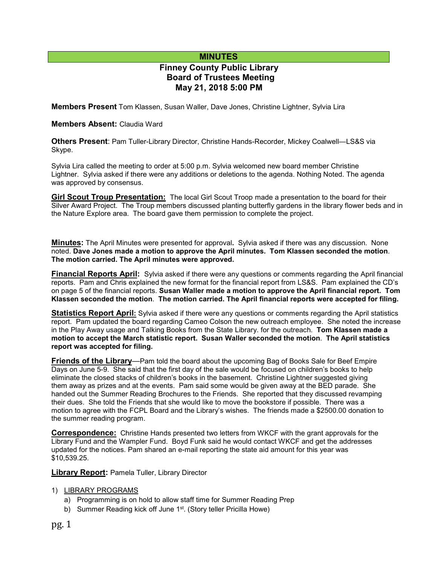## **MINUTES**

# **Finney County Public Library Board of Trustees Meeting May 21, 2018 5:00 PM**

**Members Present** Tom Klassen, Susan Waller, Dave Jones, Christine Lightner, Sylvia Lira

#### **Members Absent:** Claudia Ward

**Others Present**: Pam Tuller-Library Director, Christine Hands-Recorder, Mickey Coalwell—LS&S via Skype.

Sylvia Lira called the meeting to order at 5:00 p.m. Sylvia welcomed new board member Christine Lightner. Sylvia asked if there were any additions or deletions to the agenda. Nothing Noted. The agenda was approved by consensus.

**Girl Scout Troup Presentation:** The local Girl Scout Troop made a presentation to the board for their Silver Award Project. The Troup members discussed planting butterfly gardens in the library flower beds and in the Nature Explore area. The board gave them permission to complete the project.

**Minutes:** The April Minutes were presented for approval**.** Sylvia asked if there was any discussion. None noted. **Dave Jones made a motion to approve the April minutes. Tom Klassen seconded the motion**. **The motion carried. The April minutes were approved.** 

**Financial Reports April:** Sylvia asked if there were any questions or comments regarding the April financial reports. Pam and Chris explained the new format for the financial report from LS&S. Pam explained the CD's on page 5 of the financial reports. **Susan Waller made a motion to approve the April financial report. Tom Klassen seconded the motion**. **The motion carried. The April financial reports were accepted for filing.**

**Statistics Report April:** Sylvia asked if there were any questions or comments regarding the April statistics report. Pam updated the board regarding Cameo Colson the new outreach employee. She noted the increase in the Play Away usage and Talking Books from the State Library. for the outreach. **Tom Klassen made a motion to accept the March statistic report. Susan Waller seconded the motion**. **The April statistics report was accepted for filing.**

**Friends of the Library**—Pam told the board about the upcoming Bag of Books Sale for Beef Empire Days on June 5-9. She said that the first day of the sale would be focused on children's books to help eliminate the closed stacks of children's books in the basement. Christine Lightner suggested giving them away as prizes and at the events. Pam said some would be given away at the BED parade. She handed out the Summer Reading Brochures to the Friends. She reported that they discussed revamping their dues. She told the Friends that she would like to move the bookstore if possible. There was a motion to agree with the FCPL Board and the Library's wishes. The friends made a \$2500.00 donation to the summer reading program.

**Correspondence:** Christine Hands presented two letters from WKCF with the grant approvals for the Library Fund and the Wampler Fund. Boyd Funk said he would contact WKCF and get the addresses updated for the notices. Pam shared an e-mail reporting the state aid amount for this year was \$10,539.25.

**Library Report:** Pamela Tuller, Library Director

#### 1) LIBRARY PROGRAMS

- a) Programming is on hold to allow staff time for Summer Reading Prep
- b) Summer Reading kick off June 1<sup>st</sup>. (Story teller Pricilla Howe)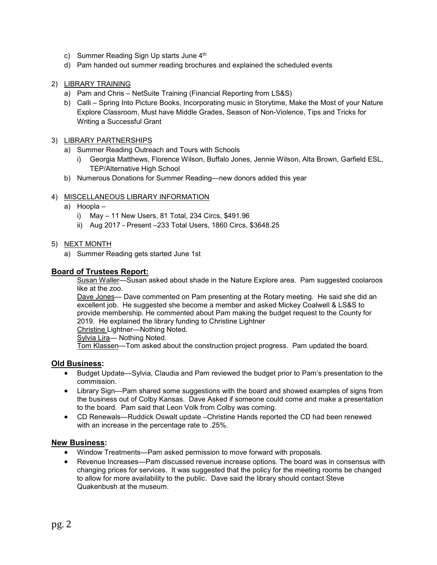- c) Summer Reading Sign Up starts June 4th
- d) Pam handed out summer reading brochures and explained the scheduled events

### 2) LIBRARY TRAINING

- a) Pam and Chris NetSuite Training (Financial Reporting from LS&S)
- b) Calli Spring Into Picture Books, Incorporating music in Storytime, Make the Most of your Nature Explore Classroom, Must have Middle Grades, Season of Non-Violence, Tips and Tricks for Writing a Successful Grant

#### 3) LIBRARY PARTNERSHIPS

- a) Summer Reading Outreach and Tours with Schools
	- i) Georgia Matthews, Florence Wilson, Buffalo Jones, Jennie Wilson, Alta Brown, Garfield ESL, TEP/Alternative High School
- b) Numerous Donations for Summer Reading—new donors added this year

#### 4) MISCELLANEOUS LIBRARY INFORMATION

- a) Hoopla
	- i) May 11 New Users, 81 Total, 234 Circs, \$491.96
	- ii) Aug 2017 Present –233 Total Users, 1860 Circs, \$3648.25

#### 5) NEXT MONTH

a) Summer Reading gets started June 1st

#### **Board of Trustees Report:**

Susan Waller—Susan asked about shade in the Nature Explore area. Pam suggested coolaroos like at the zoo.

Dave Jones— Dave commented on Pam presenting at the Rotary meeting. He said she did an excellent job. He suggested she become a member and asked Mickey Coalwell & LS&S to provide membership. He commented about Pam making the budget request to the County for 2019. He explained the library funding to Christine Lightner

Christine Lightner—Nothing Noted.

Sylvia Lira— Nothing Noted.

Tom Klassen—Tom asked about the construction project progress. Pam updated the board.

#### **Old Business:**

- Budget Update—Sylvia, Claudia and Pam reviewed the budget prior to Pam's presentation to the commission.
- Library Sign—Pam shared some suggestions with the board and showed examples of signs from the business out of Colby Kansas. Dave Asked if someone could come and make a presentation to the board. Pam said that Leon Volk from Colby was coming.
- CD Renewals—Ruddick Oswalt update –Christine Hands reported the CD had been renewed with an increase in the percentage rate to .25%.

#### **New Business:**

- Window Treatments—Pam asked permission to move forward with proposals.
- Revenue Increases—Pam discussed revenue increase options. The board was in consensus with changing prices for services. It was suggested that the policy for the meeting rooms be changed to allow for more availability to the public. Dave said the library should contact Steve Quakenbush at the museum.